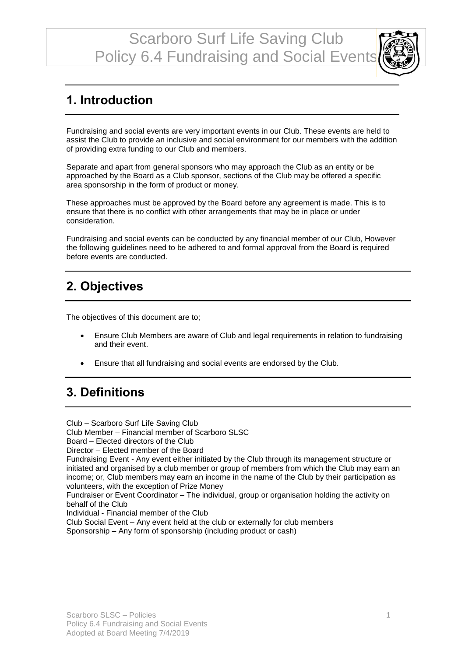

### **1. Introduction**

Fundraising and social events are very important events in our Club. These events are held to assist the Club to provide an inclusive and social environment for our members with the addition of providing extra funding to our Club and members.

Separate and apart from general sponsors who may approach the Club as an entity or be approached by the Board as a Club sponsor, sections of the Club may be offered a specific area sponsorship in the form of product or money.

These approaches must be approved by the Board before any agreement is made. This is to ensure that there is no conflict with other arrangements that may be in place or under consideration.

Fundraising and social events can be conducted by any financial member of our Club, However the following guidelines need to be adhered to and formal approval from the Board is required before events are conducted.

### **2. Objectives**

The objectives of this document are to;

- Ensure Club Members are aware of Club and legal requirements in relation to fundraising and their event.
- Ensure that all fundraising and social events are endorsed by the Club.

## **3. Definitions**

Club – Scarboro Surf Life Saving Club Club Member – Financial member of Scarboro SLSC Board – Elected directors of the Club Director – Elected member of the Board Fundraising Event - Any event either initiated by the Club through its management structure or initiated and organised by a club member or group of members from which the Club may earn an income; or, Club members may earn an income in the name of the Club by their participation as volunteers, with the exception of Prize Money Fundraiser or Event Coordinator – The individual, group or organisation holding the activity on behalf of the Club Individual - Financial member of the Club Club Social Event – Any event held at the club or externally for club members Sponsorship – Any form of sponsorship (including product or cash)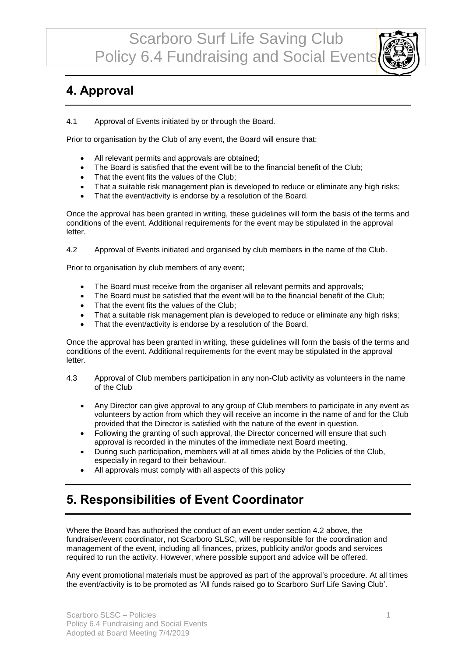### **4. Approval**

4.1 Approval of Events initiated by or through the Board.

Prior to organisation by the Club of any event, the Board will ensure that:

- All relevant permits and approvals are obtained;
- The Board is satisfied that the event will be to the financial benefit of the Club;
- That the event fits the values of the Club;
- That a suitable risk management plan is developed to reduce or eliminate any high risks;
- That the event/activity is endorse by a resolution of the Board.

Once the approval has been granted in writing, these guidelines will form the basis of the terms and conditions of the event. Additional requirements for the event may be stipulated in the approval letter.

4.2 Approval of Events initiated and organised by club members in the name of the Club.

Prior to organisation by club members of any event;

- The Board must receive from the organiser all relevant permits and approvals;
- The Board must be satisfied that the event will be to the financial benefit of the Club;
- That the event fits the values of the Club;
- That a suitable risk management plan is developed to reduce or eliminate any high risks;
- That the event/activity is endorse by a resolution of the Board.

Once the approval has been granted in writing, these guidelines will form the basis of the terms and conditions of the event. Additional requirements for the event may be stipulated in the approval letter.

- 4.3 Approval of Club members participation in any non-Club activity as volunteers in the name of the Club
	- Any Director can give approval to any group of Club members to participate in any event as volunteers by action from which they will receive an income in the name of and for the Club provided that the Director is satisfied with the nature of the event in question.
	- Following the granting of such approval, the Director concerned will ensure that such approval is recorded in the minutes of the immediate next Board meeting.
	- During such participation, members will at all times abide by the Policies of the Club, especially in regard to their behaviour.
	- All approvals must comply with all aspects of this policy

### **5. Responsibilities of Event Coordinator**

Where the Board has authorised the conduct of an event under section 4.2 above, the fundraiser/event coordinator, not Scarboro SLSC, will be responsible for the coordination and management of the event, including all finances, prizes, publicity and/or goods and services required to run the activity. However, where possible support and advice will be offered.

Any event promotional materials must be approved as part of the approval's procedure. At all times the event/activity is to be promoted as 'All funds raised go to Scarboro Surf Life Saving Club'.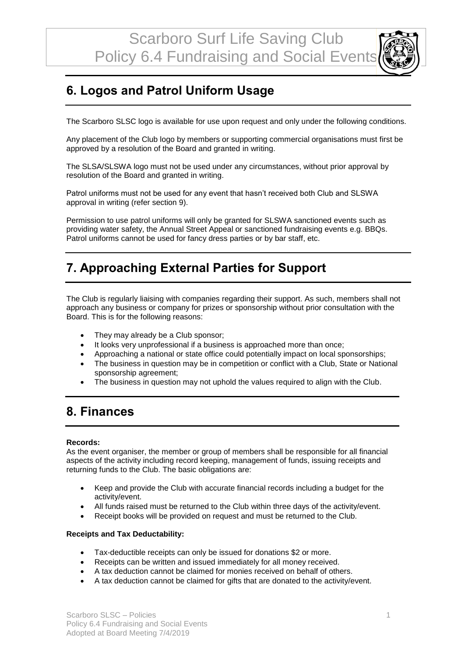## **6. Logos and Patrol Uniform Usage**

The Scarboro SLSC logo is available for use upon request and only under the following conditions.

Any placement of the Club logo by members or supporting commercial organisations must first be approved by a resolution of the Board and granted in writing.

The SLSA/SLSWA logo must not be used under any circumstances, without prior approval by resolution of the Board and granted in writing.

Patrol uniforms must not be used for any event that hasn't received both Club and SLSWA approval in writing (refer section 9).

Permission to use patrol uniforms will only be granted for SLSWA sanctioned events such as providing water safety, the Annual Street Appeal or sanctioned fundraising events e.g. BBQs. Patrol uniforms cannot be used for fancy dress parties or by bar staff, etc.

### **7. Approaching External Parties for Support**

The Club is regularly liaising with companies regarding their support. As such, members shall not approach any business or company for prizes or sponsorship without prior consultation with the Board. This is for the following reasons:

- They may already be a Club sponsor;
- It looks very unprofessional if a business is approached more than once;
- Approaching a national or state office could potentially impact on local sponsorships;
- The business in question may be in competition or conflict with a Club, State or National sponsorship agreement;
- The business in question may not uphold the values required to align with the Club.

### **8. Finances**

#### **Records:**

As the event organiser, the member or group of members shall be responsible for all financial aspects of the activity including record keeping, management of funds, issuing receipts and returning funds to the Club. The basic obligations are:

- Keep and provide the Club with accurate financial records including a budget for the activity/event.
- All funds raised must be returned to the Club within three days of the activity/event.
- Receipt books will be provided on request and must be returned to the Club.

#### **Receipts and Tax Deductability:**

- Tax-deductible receipts can only be issued for donations \$2 or more.
- Receipts can be written and issued immediately for all money received.
- A tax deduction cannot be claimed for monies received on behalf of others.
- A tax deduction cannot be claimed for gifts that are donated to the activity/event.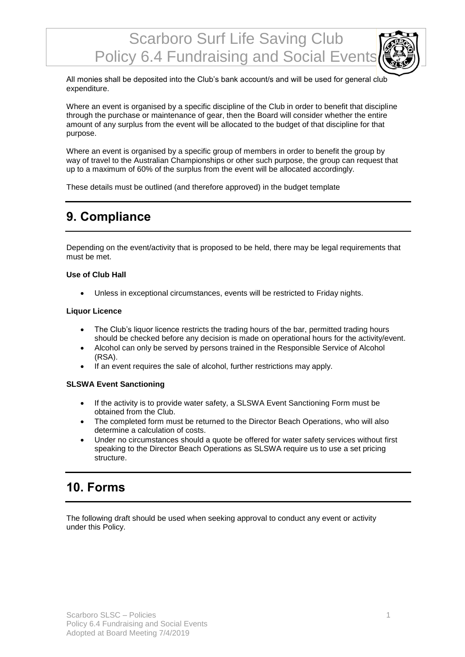All monies shall be deposited into the Club's bank account/s and will be used for general club expenditure.

Where an event is organised by a specific discipline of the Club in order to benefit that discipline through the purchase or maintenance of gear, then the Board will consider whether the entire amount of any surplus from the event will be allocated to the budget of that discipline for that purpose.

Where an event is organised by a specific group of members in order to benefit the group by way of travel to the Australian Championships or other such purpose, the group can request that up to a maximum of 60% of the surplus from the event will be allocated accordingly.

These details must be outlined (and therefore approved) in the budget template

### **9. Compliance**

Depending on the event/activity that is proposed to be held, there may be legal requirements that must be met.

#### **Use of Club Hall**

• Unless in exceptional circumstances, events will be restricted to Friday nights.

#### **Liquor Licence**

- The Club's liquor licence restricts the trading hours of the bar, permitted trading hours should be checked before any decision is made on operational hours for the activity/event.
- Alcohol can only be served by persons trained in the Responsible Service of Alcohol (RSA).
- If an event requires the sale of alcohol, further restrictions may apply.

#### **SLSWA Event Sanctioning**

- If the activity is to provide water safety, a SLSWA Event Sanctioning Form must be obtained from the Club.
- The completed form must be returned to the Director Beach Operations, who will also determine a calculation of costs.
- Under no circumstances should a quote be offered for water safety services without first speaking to the Director Beach Operations as SLSWA require us to use a set pricing structure.

### **10. Forms**

The following draft should be used when seeking approval to conduct any event or activity under this Policy.